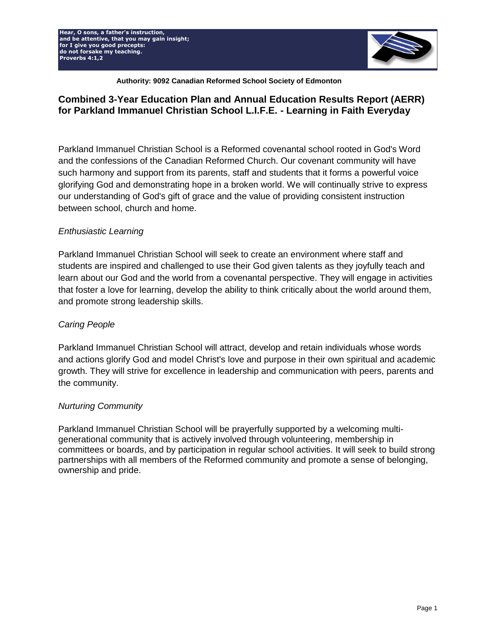**Hear, O sons, a father's instruction, and be attentive, that you may gain insight; for I give you good precepts: do not forsake my teaching. Proverbs 4:1,2**



**for I give you good Authority: 9092 Canadian Reformed School Society of Edmonton**

# **Combined 3-Year Education Plan and Annual Education Results Report (AERR) for Parkland Immanuel Christian School L.I.F.E. - Learning in Faith Everyday**

Parkland Immanuel Christian School is a Reformed covenantal school rooted in God's Word and the confessions of the Canadian Reformed Church. Our covenant community will have such harmony and support from its parents, staff and students that it forms a powerful voice glorifying God and demonstrating hope in a broken world. We will continually strive to express our understanding of God's gift of grace and the value of providing consistent instruction between school, church and home.

## *Enthusiastic Learning*

Parkland Immanuel Christian School will seek to create an environment where staff and students are inspired and challenged to use their God given talents as they joyfully teach and learn about our God and the world from a covenantal perspective. They will engage in activities that foster a love for learning, develop the ability to think critically about the world around them, and promote strong leadership skills.

# *Caring People*

Parkland Immanuel Christian School will attract, develop and retain individuals whose words and actions glorify God and model Christ's love and purpose in their own spiritual and academic growth. They will strive for excellence in leadership and communication with peers, parents and the community.

## *Nurturing Community*

Parkland Immanuel Christian School will be prayerfully supported by a welcoming multigenerational community that is actively involved through volunteering, membership in committees or boards, and by participation in regular school activities. It will seek to build strong partnerships with all members of the Reformed community and promote a sense of belonging, ownership and pride.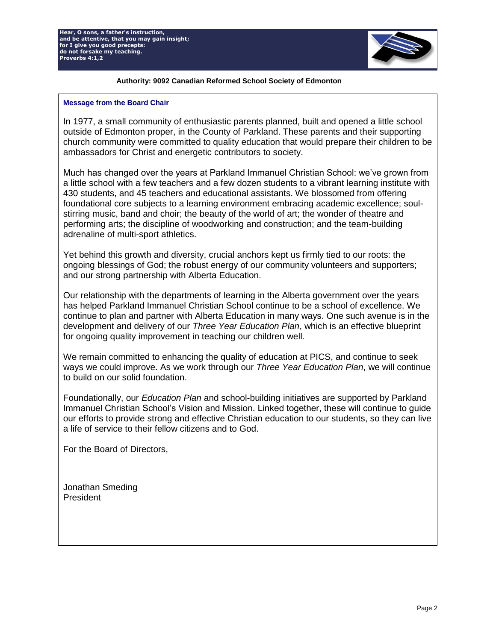

#### **for I give you good Authority: 9092 Canadian Reformed School Society of Edmonton**

#### **Message from the Board Chair**

In 1977, a small community of enthusiastic parents planned, built and opened a little school outside of Edmonton proper, in the County of Parkland. These parents and their supporting church community were committed to quality education that would prepare their children to be ambassadors for Christ and energetic contributors to society.

Much has changed over the years at Parkland Immanuel Christian School: we've grown from a little school with a few teachers and a few dozen students to a vibrant learning institute with 430 students, and 45 teachers and educational assistants. We blossomed from offering foundational core subjects to a learning environment embracing academic excellence; soulstirring music, band and choir; the beauty of the world of art; the wonder of theatre and performing arts; the discipline of woodworking and construction; and the team-building adrenaline of multi-sport athletics.

Yet behind this growth and diversity, crucial anchors kept us firmly tied to our roots: the ongoing blessings of God; the robust energy of our community volunteers and supporters; and our strong partnership with Alberta Education.

Our relationship with the departments of learning in the Alberta government over the years has helped Parkland Immanuel Christian School continue to be a school of excellence. We continue to plan and partner with Alberta Education in many ways. One such avenue is in the development and delivery of our *Three Year Education Plan*, which is an effective blueprint for ongoing quality improvement in teaching our children well.

We remain committed to enhancing the quality of education at PICS, and continue to seek ways we could improve. As we work through our *Three Year Education Plan*, we will continue to build on our solid foundation.

Foundationally, our *Education Plan* and school-building initiatives are supported by Parkland Immanuel Christian School's Vision and Mission. Linked together, these will continue to guide our efforts to provide strong and effective Christian education to our students, so they can live a life of service to their fellow citizens and to God.

For the Board of Directors,

Jonathan Smeding President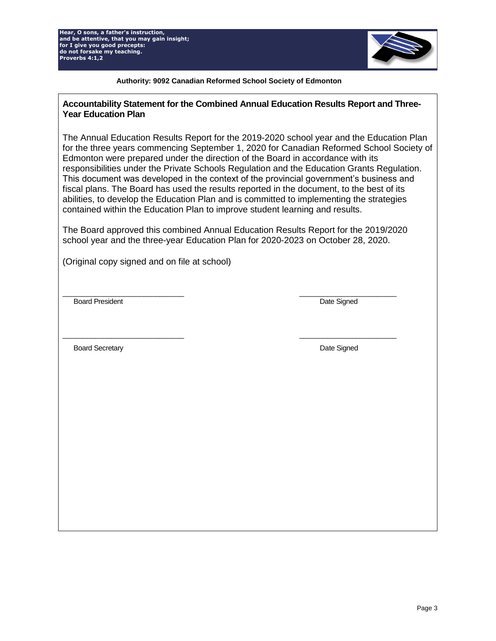

#### **for I give you good Authority: 9092 Canadian Reformed School Society of Edmonton**

### **Accountability Statement for the Combined Annual Education Results Report and Three-Year Education Plan**

The Annual Education Results Report for the 2019-2020 school year and the Education Plan for the three years commencing September 1, 2020 for Canadian Reformed School Society of Edmonton were prepared under the direction of the Board in accordance with its responsibilities under the Private Schools Regulation and the Education Grants Regulation. This document was developed in the context of the provincial government's business and fiscal plans. The Board has used the results reported in the document, to the best of its abilities, to develop the Education Plan and is committed to implementing the strategies contained within the Education Plan to improve student learning and results.

The Board approved this combined Annual Education Results Report for the 2019/2020 school year and the three-year Education Plan for 2020-2023 on October 28, 2020.

 $\frac{1}{2}$  ,  $\frac{1}{2}$  ,  $\frac{1}{2}$  ,  $\frac{1}{2}$  ,  $\frac{1}{2}$  ,  $\frac{1}{2}$  ,  $\frac{1}{2}$  ,  $\frac{1}{2}$  ,  $\frac{1}{2}$  ,  $\frac{1}{2}$  ,  $\frac{1}{2}$  ,  $\frac{1}{2}$  ,  $\frac{1}{2}$  ,  $\frac{1}{2}$  ,  $\frac{1}{2}$  ,  $\frac{1}{2}$  ,  $\frac{1}{2}$  ,  $\frac{1}{2}$  ,  $\frac{1$ 

(Original copy signed and on file at school)

Board President National State Signed Signed Signed Signed Signed Signed Signed Signed Signed Signed Signed Signed Signed Signed Signed Signed Signed Signed Signed Signed Signed Signed Signed Signed Signed Signed Signed Si

 $\frac{1}{2}$  ,  $\frac{1}{2}$  ,  $\frac{1}{2}$  ,  $\frac{1}{2}$  ,  $\frac{1}{2}$  ,  $\frac{1}{2}$  ,  $\frac{1}{2}$  ,  $\frac{1}{2}$  ,  $\frac{1}{2}$  ,  $\frac{1}{2}$  ,  $\frac{1}{2}$  ,  $\frac{1}{2}$  ,  $\frac{1}{2}$  ,  $\frac{1}{2}$  ,  $\frac{1}{2}$  ,  $\frac{1}{2}$  ,  $\frac{1}{2}$  ,  $\frac{1}{2}$  ,  $\frac{1$ 

Board Secretary **Date Signed Board Secretary Date Signed**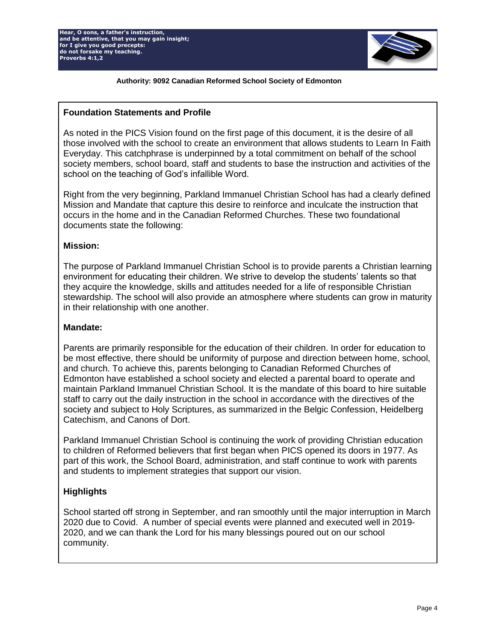

#### **for I give you good Authority: 9092 Canadian Reformed School Society of Edmonton**

## **Foundation Statements and Profile**

As noted in the PICS Vision found on the first page of this document, it is the desire of all those involved with the school to create an environment that allows students to Learn In Faith Everyday. This catchphrase is underpinned by a total commitment on behalf of the school society members, school board, staff and students to base the instruction and activities of the school on the teaching of God's infallible Word.

Right from the very beginning, Parkland Immanuel Christian School has had a clearly defined Mission and Mandate that capture this desire to reinforce and inculcate the instruction that occurs in the home and in the Canadian Reformed Churches. These two foundational documents state the following:

## **Mission:**

The purpose of Parkland Immanuel Christian School is to provide parents a Christian learning environment for educating their children. We strive to develop the students' talents so that they acquire the knowledge, skills and attitudes needed for a life of responsible Christian stewardship. The school will also provide an atmosphere where students can grow in maturity in their relationship with one another.

## **Mandate:**

Parents are primarily responsible for the education of their children. In order for education to be most effective, there should be uniformity of purpose and direction between home, school, and church. To achieve this, parents belonging to Canadian Reformed Churches of Edmonton have established a school society and elected a parental board to operate and maintain Parkland Immanuel Christian School. It is the mandate of this board to hire suitable staff to carry out the daily instruction in the school in accordance with the directives of the society and subject to Holy Scriptures, as summarized in the Belgic Confession, Heidelberg Catechism, and Canons of Dort.

Parkland Immanuel Christian School is continuing the work of providing Christian education to children of Reformed believers that first began when PICS opened its doors in 1977. As part of this work, the School Board, administration, and staff continue to work with parents and students to implement strategies that support our vision.

# **Highlights**

School started off strong in September, and ran smoothly until the major interruption in March 2020 due to Covid. A number of special events were planned and executed well in 2019- 2020, and we can thank the Lord for his many blessings poured out on our school community.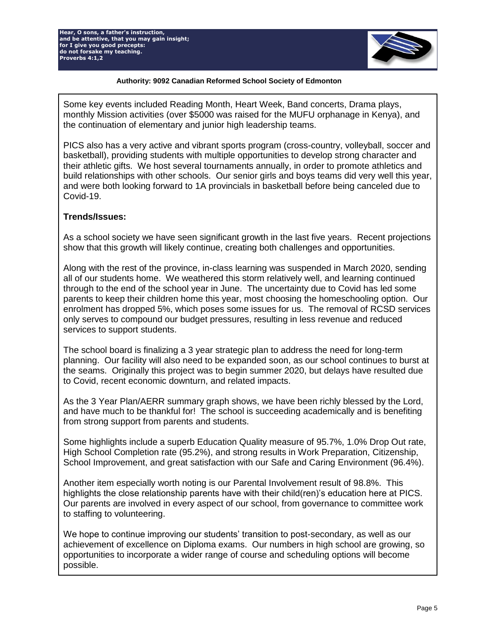**Hear, O sons, a father's instruction, and be attentive, that you may gain insight; for I give you good precepts: do not forsake my teaching. Proverbs 4:1,2**



#### **for I give you good Authority: 9092 Canadian Reformed School Society of Edmonton**

Some key events included Reading Month, Heart Week, Band concerts, Drama plays, monthly Mission activities (over \$5000 was raised for the MUFU orphanage in Kenya), and the continuation of elementary and junior high leadership teams.

PICS also has a very active and vibrant sports program (cross-country, volleyball, soccer and basketball), providing students with multiple opportunities to develop strong character and their athletic gifts. We host several tournaments annually, in order to promote athletics and build relationships with other schools. Our senior girls and boys teams did very well this year, and were both looking forward to 1A provincials in basketball before being canceled due to Covid-19.

## **Trends/Issues:**

As a school society we have seen significant growth in the last five years. Recent projections show that this growth will likely continue, creating both challenges and opportunities.

Along with the rest of the province, in-class learning was suspended in March 2020, sending all of our students home. We weathered this storm relatively well, and learning continued through to the end of the school year in June. The uncertainty due to Covid has led some parents to keep their children home this year, most choosing the homeschooling option. Our enrolment has dropped 5%, which poses some issues for us. The removal of RCSD services only serves to compound our budget pressures, resulting in less revenue and reduced services to support students.

The school board is finalizing a 3 year strategic plan to address the need for long-term planning. Our facility will also need to be expanded soon, as our school continues to burst at the seams. Originally this project was to begin summer 2020, but delays have resulted due to Covid, recent economic downturn, and related impacts.

As the 3 Year Plan/AERR summary graph shows, we have been richly blessed by the Lord, and have much to be thankful for! The school is succeeding academically and is benefiting from strong support from parents and students.

Some highlights include a superb Education Quality measure of 95.7%, 1.0% Drop Out rate, High School Completion rate (95.2%), and strong results in Work Preparation, Citizenship, School Improvement, and great satisfaction with our Safe and Caring Environment (96.4%).

Another item especially worth noting is our Parental Involvement result of 98.8%. This highlights the close relationship parents have with their child(ren)'s education here at PICS. Our parents are involved in every aspect of our school, from governance to committee work to staffing to volunteering.

We hope to continue improving our students' transition to post-secondary, as well as our achievement of excellence on Diploma exams. Our numbers in high school are growing, so opportunities to incorporate a wider range of course and scheduling options will become possible.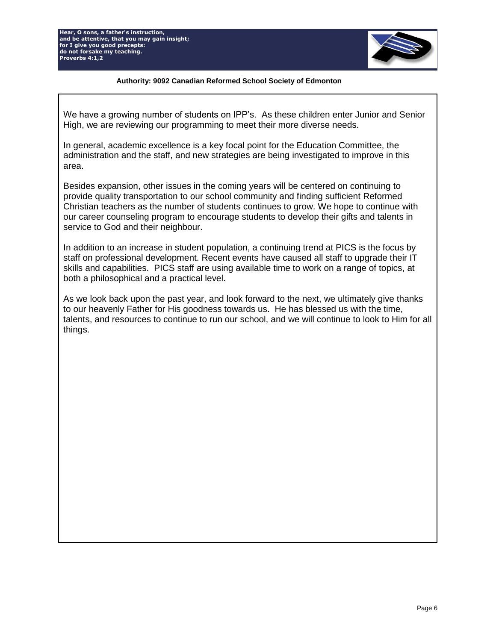**Hear, O sons, a father's instruction, and be attentive, that you may gain insight; for I give you good precepts: do not forsake my teaching. Proverbs 4:1,2**



#### **for I give you good Authority: 9092 Canadian Reformed School Society of Edmonton**

We have a growing number of students on IPP's. As these children enter Junior and Senior High, we are reviewing our programming to meet their more diverse needs.

In general, academic excellence is a key focal point for the Education Committee, the administration and the staff, and new strategies are being investigated to improve in this area.

Besides expansion, other issues in the coming years will be centered on continuing to provide quality transportation to our school community and finding sufficient Reformed Christian teachers as the number of students continues to grow. We hope to continue with our career counseling program to encourage students to develop their gifts and talents in service to God and their neighbour.

In addition to an increase in student population, a continuing trend at PICS is the focus by staff on professional development. Recent events have caused all staff to upgrade their IT skills and capabilities. PICS staff are using available time to work on a range of topics, at both a philosophical and a practical level.

As we look back upon the past year, and look forward to the next, we ultimately give thanks to our heavenly Father for His goodness towards us. He has blessed us with the time, talents, and resources to continue to run our school, and we will continue to look to Him for all things.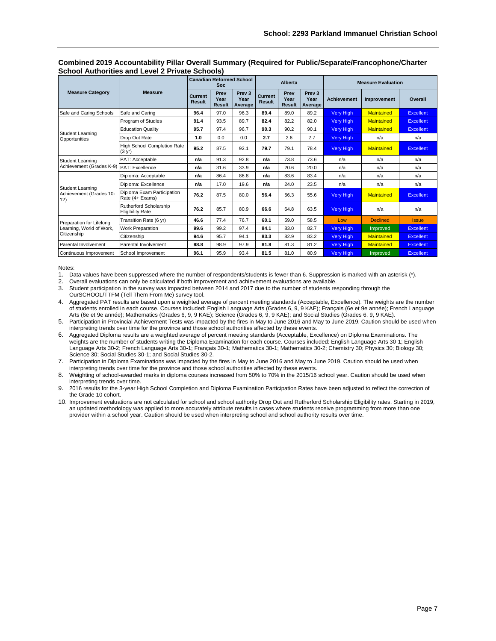|                                            |                                                        |                          | <b>Soc</b>                    | <b>Canadian Reformed School</b>      |                                 | <b>Alberta</b>                |                                      | <b>Measure Evaluation</b> |                   |                  |  |
|--------------------------------------------|--------------------------------------------------------|--------------------------|-------------------------------|--------------------------------------|---------------------------------|-------------------------------|--------------------------------------|---------------------------|-------------------|------------------|--|
| <b>Measure Category</b>                    | <b>Measure</b>                                         | Current<br><b>Result</b> | Prev<br>Year<br><b>Result</b> | Prev <sub>3</sub><br>Year<br>Average | <b>Current</b><br><b>Result</b> | Prev<br>Year<br><b>Result</b> | Prev <sub>3</sub><br>Year<br>Average | <b>Achievement</b>        | Improvement       | Overall          |  |
| Safe and Caring Schools                    | Safe and Caring                                        | 96.4                     | 97.0                          | 96.3                                 | 89.4                            | 89.0                          | 89.2                                 | <b>Very High</b>          | <b>Maintained</b> | <b>Excellent</b> |  |
|                                            | Program of Studies                                     | 91.4                     | 93.5                          | 89.7                                 | 82.4                            | 82.2                          | 82.0                                 | <b>Very High</b>          | <b>Maintained</b> | Excellent        |  |
| <b>Student Learning</b>                    | <b>Education Quality</b>                               | 95.7                     | 97.4                          | 96.7                                 | 90.3                            | 90.2                          | 90.1                                 | <b>Very High</b>          | <b>Maintained</b> | <b>Excellent</b> |  |
| Opportunities                              | Drop Out Rate                                          | 1.0                      | 0.0                           | 0.0                                  | 2.7                             | 2.6                           | 2.7                                  | Very High                 | n/a               | n/a              |  |
|                                            | <b>High School Completion Rate</b><br>$(3 \text{ yr})$ | 95.2                     | 87.5                          | 92.1                                 | 79.7                            | 79.1                          | 78.4                                 | <b>Very High</b>          | <b>Maintained</b> | <b>Excellent</b> |  |
| <b>Student Learning</b>                    | PAT: Acceptable                                        | n/a                      | 91.3                          | 92.8                                 | n/a                             | 73.8                          | 73.6                                 | n/a                       | n/a               | n/a              |  |
| Achievement (Grades K-9)   PAT: Excellence |                                                        | n/a                      | 31.6                          | 33.9                                 | n/a                             | 20.6                          | 20.0                                 | n/a                       | n/a               | n/a              |  |
|                                            | Diploma: Acceptable                                    | n/a                      | 86.4                          | 86.8                                 | n/a                             | 83.6                          | 83.4                                 | n/a                       | n/a               | n/a              |  |
| Student Learning                           | Diploma: Excellence                                    | n/a                      | 17.0                          | 19.6                                 | n/a                             | 24.0                          | 23.5                                 | n/a                       | n/a               | n/a              |  |
| Achievement (Grades 10-<br>12)             | Diploma Exam Participation<br>Rate (4+ Exams)          | 76.2                     | 87.5                          | 80.0                                 | 56.4                            | 56.3                          | 55.6                                 | <b>Very High</b>          | <b>Maintained</b> | <b>Excellent</b> |  |
|                                            | Rutherford Scholarship<br><b>Eligibility Rate</b>      | 76.2                     | 85.7                          | 80.9                                 | 66.6                            | 64.8                          | 63.5                                 | <b>Very High</b>          | n/a               | n/a              |  |
| Preparation for Lifelong                   | Transition Rate (6 yr)                                 | 46.6                     | 77.4                          | 76.7                                 | 60.1                            | 59.0                          | 58.5                                 | Low                       | <b>Declined</b>   | <b>Issue</b>     |  |
| Learning, World of Work,                   | Work Preparation                                       | 99.6                     | 99.2                          | 97.4                                 | 84.1                            | 83.0                          | 82.7                                 | <b>Very High</b>          | Improved          | <b>Excellent</b> |  |
| Citizenship                                | Citizenship                                            | 94.6                     | 95.7                          | 94.1                                 | 83.3                            | 82.9                          | 83.2                                 | <b>Very High</b>          | <b>Maintained</b> | <b>Excellent</b> |  |
| Parental Involvement                       | Parental Involvement                                   | 98.8                     | 98.9                          | 97.9                                 | 81.8                            | 81.3                          | 81.2                                 | <b>Very High</b>          | <b>Maintained</b> | <b>Excellent</b> |  |
| Continuous Improvement                     | School Improvement                                     | 96.1                     | 95.9                          | 93.4                                 | 81.5                            | 81.0                          | 80.9                                 | <b>Very High</b>          | Improved          | <b>Excellent</b> |  |

#### **Combined 2019 Accountability Pillar Overall Summary (Required for Public/Separate/Francophone/Charter School Authorities and Level 2 Private Schools)**

Notes:

1. Data values have been suppressed where the number of respondents/students is fewer than 6. Suppression is marked with an asterisk (\*).

2. Overall evaluations can only be calculated if both improvement and achievement evaluations are available.<br>3. Student participation in the survey was impacted between 2014 and 2017 due to the number of students re

Student participation in the survey was impacted between 2014 and 2017 due to the number of students responding through the

OurSCHOOL/TTFM (Tell Them From Me) survey tool. 4. Aggregated PAT results are based upon a weighted average of percent meeting standards (Acceptable, Excellence). The weights are the number<br>of students enrolled in each course. Courses included: English Language Arts (Gr Arts (6e et 9e année); Mathematics (Grades 6, 9, 9 KAE); Science (Grades 6, 9, 9 KAE); and Social Studies (Grades 6, 9, 9 KAE).

5. Participation in Provincial Achievement Tests was impacted by the fires in May to June 2016 and May to June 2019. Caution should be used when interpreting trends over time for the province and those school authorities affected by these events.

6. Aggregated Diploma results are a weighted average of percent meeting standards (Acceptable, Excellence) on Diploma Examinations. The weights are the number of students writing the Diploma Examination for each course. Courses included: English Language Arts 30-1; English Language Arts 30-2; French Language Arts 30-1; Français 30-1; Mathematics 30-1; Mathematics 30-2; Chemistry 30; Physics 30; Biology 30; Science 30; Social Studies 30-1; and Social Studies 30-2.

7. Participation in Diploma Examinations was impacted by the fires in May to June 2016 and May to June 2019. Caution should be used when interpreting trends over time for the province and those school authorities affected by these events.

8. Weighting of school-awarded marks in diploma courses increased from 50% to 70% in the 2015/16 school year. Caution should be used when interpreting trends over time.

9. 2016 results for the 3-year High School Completion and Diploma Examination Participation Rates have been adjusted to reflect the correction of the Grade 10 cohort.

10. Improvement evaluations are not calculated for school and school authority Drop Out and Rutherford Scholarship Eligibility rates. Starting in 2019, an updated methodology was applied to more accurately attribute results in cases where students receive programming from more than one provider within a school year. Caution should be used when interpreting school and school authority results over time.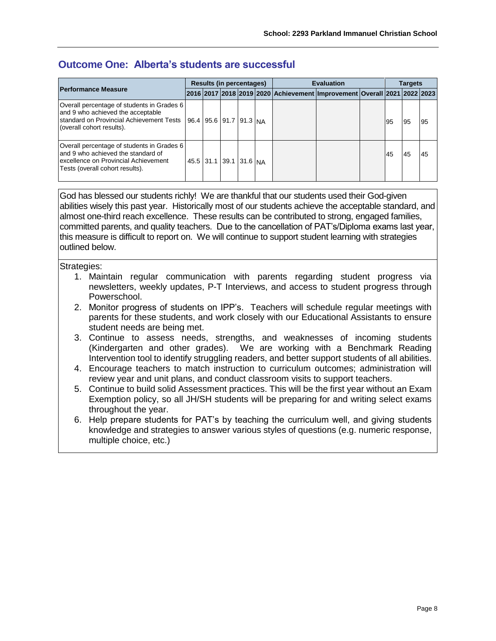# **Outcome One: Alberta's students are successful**

|                                                                                                                                                              |                        | <b>Results (in percentages)</b> |  | <b>Evaluation</b>                                                       |  |  |    | <b>Targets</b> |    |  |
|--------------------------------------------------------------------------------------------------------------------------------------------------------------|------------------------|---------------------------------|--|-------------------------------------------------------------------------|--|--|----|----------------|----|--|
| <b>Performance Measure</b>                                                                                                                                   |                        |                                 |  | 2016 2017 2018 2019 2020 Achievement Improvement Overall 2021 2022 2023 |  |  |    |                |    |  |
| Overall percentage of students in Grades 6<br>and 9 who achieved the acceptable<br>standard on Provincial Achievement Tests<br>(overall cohort results).     | 96.4 95.6 91.7 91.3 NA |                                 |  |                                                                         |  |  | 95 | 95             | 95 |  |
| Overall percentage of students in Grades 6<br>land 9 who achieved the standard of<br>excellence on Provincial Achievement<br>Tests (overall cohort results). |                        | 45.5 31.1 39.1 31.6 NA          |  |                                                                         |  |  | 45 | 45             | 45 |  |

God has blessed our students richly! We are thankful that our students used their God-given abilities wisely this past year. Historically most of our students achieve the acceptable standard, and almost one-third reach excellence. These results can be contributed to strong, engaged families, committed parents, and quality teachers. Due to the cancellation of PAT's/Diploma exams last year, this measure is difficult to report on. We will continue to support student learning with strategies outlined below.

## Strategies:

- 1. Maintain regular communication with parents regarding student progress via newsletters, weekly updates, P-T Interviews, and access to student progress through Powerschool.
- 2. Monitor progress of students on IPP's. Teachers will schedule regular meetings with parents for these students, and work closely with our Educational Assistants to ensure student needs are being met.
- 3. Continue to assess needs, strengths, and weaknesses of incoming students (Kindergarten and other grades). We are working with a Benchmark Reading Intervention tool to identify struggling readers, and better support students of all abilities.
- 4. Encourage teachers to match instruction to curriculum outcomes; administration will review year and unit plans, and conduct classroom visits to support teachers.
- 5. Continue to build solid Assessment practices. This will be the first year without an Exam Exemption policy, so all JH/SH students will be preparing for and writing select exams throughout the year.
- 6. Help prepare students for PAT's by teaching the curriculum well, and giving students knowledge and strategies to answer various styles of questions (e.g. numeric response, multiple choice, etc.)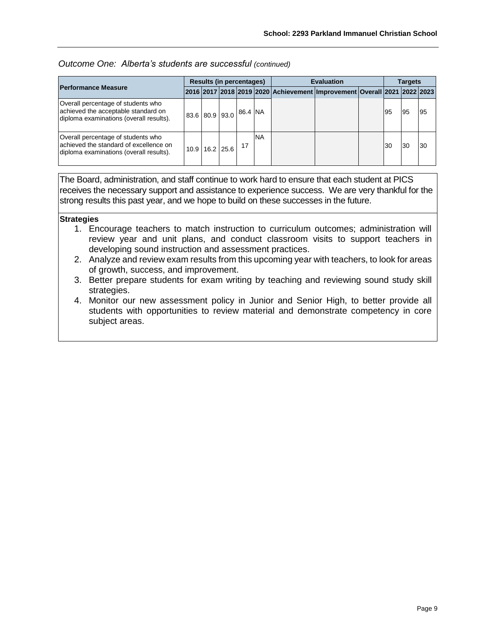| Outcome One: Alberta's students are successful (continued) |  |
|------------------------------------------------------------|--|
|------------------------------------------------------------|--|

|                                                                                                                         | <b>Results (in percentages)</b> |                |  |         |           | <b>Evaluation</b>                                                       |  |  |    | Targets |    |  |
|-------------------------------------------------------------------------------------------------------------------------|---------------------------------|----------------|--|---------|-----------|-------------------------------------------------------------------------|--|--|----|---------|----|--|
| <b>Performance Measure</b>                                                                                              |                                 |                |  |         |           | 2016 2017 2018 2019 2020 Achievement Improvement Overall 2021 2022 2023 |  |  |    |         |    |  |
| Overall percentage of students who<br>achieved the acceptable standard on<br>diploma examinations (overall results).    |                                 | 83.6 80.9 93.0 |  | 86.4 NA |           |                                                                         |  |  | 95 | 95      | 95 |  |
| Overall percentage of students who<br>achieved the standard of excellence on<br>diploma examinations (overall results). | 10.9                            | 16.2 25.6      |  | 17      | <b>NA</b> |                                                                         |  |  | 30 | 30      | 30 |  |

The Board, administration, and staff continue to work hard to ensure that each student at PICS receives the necessary support and assistance to experience success. We are very thankful for the strong results this past year, and we hope to build on these successes in the future.

#### **Strategies**

- 1. Encourage teachers to match instruction to curriculum outcomes; administration will review year and unit plans, and conduct classroom visits to support teachers in developing sound instruction and assessment practices.
- 2. Analyze and review exam results from this upcoming year with teachers, to look for areas of growth, success, and improvement.
- 3. Better prepare students for exam writing by teaching and reviewing sound study skill strategies.
- 4. Monitor our new assessment policy in Junior and Senior High, to better provide all students with opportunities to review material and demonstrate competency in core subject areas.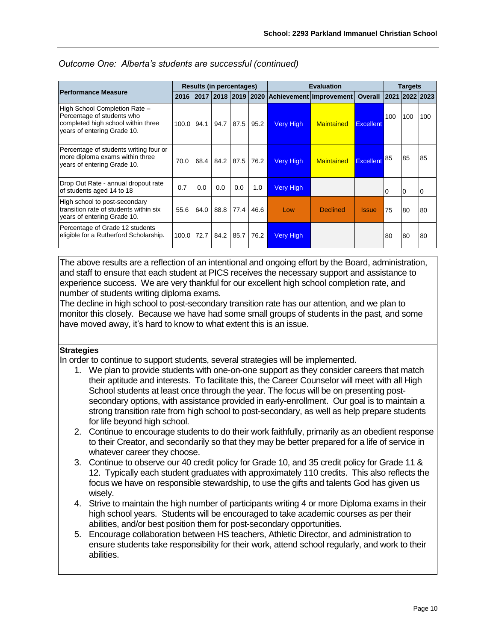|                                                                                                                                  |       |      | <b>Results (in percentages)</b> |           |      |                  | <b>Evaluation</b>                                            |                  | <b>Targets</b> |     |                |
|----------------------------------------------------------------------------------------------------------------------------------|-------|------|---------------------------------|-----------|------|------------------|--------------------------------------------------------------|------------------|----------------|-----|----------------|
| <b>Performance Measure</b>                                                                                                       |       |      |                                 |           |      |                  | 2016   2017   2018   2019   2020   Achievement   Improvement | <b>Overall</b>   | 2021 2022 2023 |     |                |
| High School Completion Rate -<br>Percentage of students who<br>completed high school within three<br>years of entering Grade 10. | 100.0 | 94.1 | 94.7                            | 87.5      | 95.2 | <b>Very High</b> | <b>Maintained</b>                                            | <b>Excellent</b> | 100            | 100 | 100            |
| Percentage of students writing four or<br>more diploma exams within three<br>years of entering Grade 10.                         | 70.0  | 68.4 |                                 | 84.2 87.5 | 76.2 | <b>Very High</b> | <b>Maintained</b>                                            | Excellent        | 85             | 85  | 85             |
| Drop Out Rate - annual dropout rate<br>of students aged 14 to 18                                                                 | 0.7   | 0.0  | 0.0                             | 0.0       | 1.0  | <b>Very High</b> |                                                              |                  | <b>0</b>       | 0   | $\overline{0}$ |
| High school to post-secondary<br>transition rate of students within six<br>years of entering Grade 10.                           | 55.6  | 64.0 | 88.8                            | 77.4      | 46.6 | Low              | <b>Declined</b>                                              | <b>Issue</b>     | 75             | 80  | 80             |
| Percentage of Grade 12 students<br>eligible for a Rutherford Scholarship.                                                        | 100.0 | 72.7 | 84.2 85.7                       |           | 76.2 | <b>Very High</b> |                                                              |                  | 80             | 80  | 80             |

## *Outcome One: Alberta's students are successful (continued)*

The above results are a reflection of an intentional and ongoing effort by the Board, administration, and staff to ensure that each student at PICS receives the necessary support and assistance to experience success. We are very thankful for our excellent high school completion rate, and number of students writing diploma exams.

The decline in high school to post-secondary transition rate has our attention, and we plan to monitor this closely. Because we have had some small groups of students in the past, and some have moved away, it's hard to know to what extent this is an issue.

## **Strategies**

In order to continue to support students, several strategies will be implemented.

- 1. We plan to provide students with one-on-one support as they consider careers that match their aptitude and interests. To facilitate this, the Career Counselor will meet with all High School students at least once through the year. The focus will be on presenting postsecondary options, with assistance provided in early-enrollment. Our goal is to maintain a strong transition rate from high school to post-secondary, as well as help prepare students for life beyond high school.
- 2. Continue to encourage students to do their work faithfully, primarily as an obedient response to their Creator, and secondarily so that they may be better prepared for a life of service in whatever career they choose.
- 3. Continue to observe our 40 credit policy for Grade 10, and 35 credit policy for Grade 11 & 12. Typically each student graduates with approximately 110 credits. This also reflects the focus we have on responsible stewardship, to use the gifts and talents God has given us wisely.
- 4. Strive to maintain the high number of participants writing 4 or more Diploma exams in their high school years. Students will be encouraged to take academic courses as per their abilities, and/or best position them for post-secondary opportunities.
- 5. Encourage collaboration between HS teachers, Athletic Director, and administration to ensure students take responsibility for their work, attend school regularly, and work to their abilities.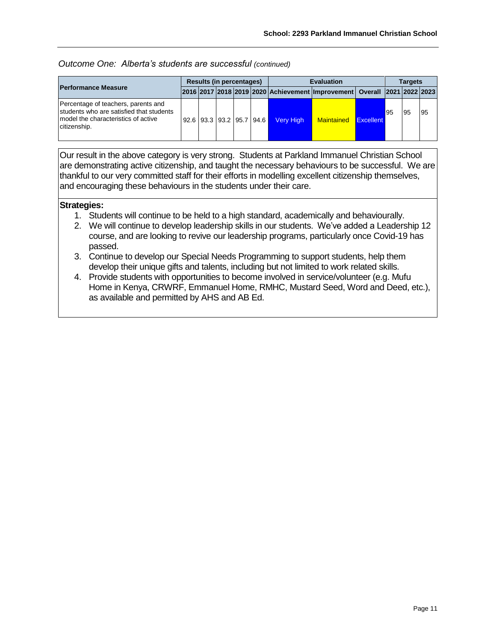### *Outcome One: Alberta's students are successful (continued)*

|                                                                                                                                          | Results (in percentages) |  |  |  |                          | <b>Evaluation</b> |                                                                                            |                  |    | <b>Targets</b> |           |  |
|------------------------------------------------------------------------------------------------------------------------------------------|--------------------------|--|--|--|--------------------------|-------------------|--------------------------------------------------------------------------------------------|------------------|----|----------------|-----------|--|
| <b>Performance Measure</b>                                                                                                               |                          |  |  |  |                          |                   | 2016  2017   2018   2019   2020   Achievement   Improvement   Overall   2021   2022   2023 |                  |    |                |           |  |
| Percentage of teachers, parents and<br>students who are satisfied that students<br>I model the characteristics of active<br>citizenship. |                          |  |  |  | 92.6 93.3 93.2 95.7 94.6 | Very High         | <b>Maintained</b>                                                                          | <b>Excellent</b> | 95 | 95             | <b>95</b> |  |

Our result in the above category is very strong. Students at Parkland Immanuel Christian School are demonstrating active citizenship, and taught the necessary behaviours to be successful. We are thankful to our very committed staff for their efforts in modelling excellent citizenship themselves, and encouraging these behaviours in the students under their care.

## **Strategies:**

- 1. Students will continue to be held to a high standard, academically and behaviourally.
- 2. We will continue to develop leadership skills in our students. We've added a Leadership 12 course, and are looking to revive our leadership programs, particularly once Covid-19 has passed.
- 3. Continue to develop our Special Needs Programming to support students, help them develop their unique gifts and talents, including but not limited to work related skills.
- 4. Provide students with opportunities to become involved in service/volunteer (e.g. Mufu Home in Kenya, CRWRF, Emmanuel Home, RMHC, Mustard Seed, Word and Deed, etc.), as available and permitted by AHS and AB Ed.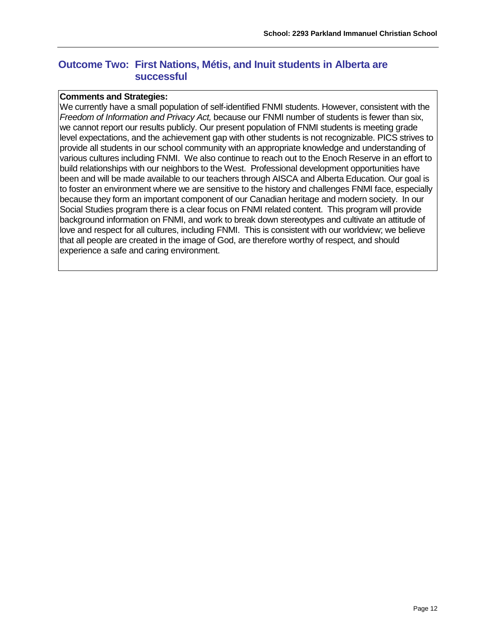# **Outcome Two: First Nations, Métis, and Inuit students in Alberta are successful**

### **Comments and Strategies:**

We currently have a small population of self-identified FNMI students. However, consistent with the *Freedom of Information and Privacy Act,* because our FNMI number of students is fewer than six, we cannot report our results publicly. Our present population of FNMI students is meeting grade level expectations, and the achievement gap with other students is not recognizable. PICS strives to provide all students in our school community with an appropriate knowledge and understanding of various cultures including FNMI. We also continue to reach out to the Enoch Reserve in an effort to build relationships with our neighbors to the West. Professional development opportunities have been and will be made available to our teachers through AISCA and Alberta Education. Our goal is to foster an environment where we are sensitive to the history and challenges FNMI face, especially because they form an important component of our Canadian heritage and modern society. In our Social Studies program there is a clear focus on FNMI related content. This program will provide background information on FNMI, and work to break down stereotypes and cultivate an attitude of love and respect for all cultures, including FNMI. This is consistent with our worldview; we believe that all people are created in the image of God, are therefore worthy of respect, and should experience a safe and caring environment.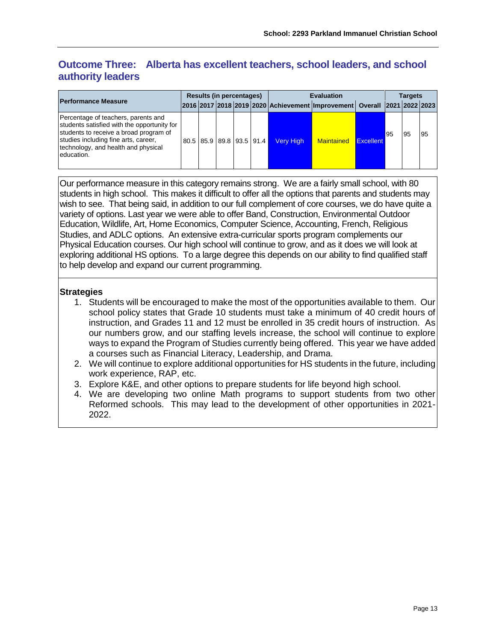# **Outcome Three: Alberta has excellent teachers, school leaders, and school authority leaders**

|                                                                                                                                                                                                                           | <b>Results (in percentages)</b> |  |  |  |                          | <b>Evaluation</b> |                                                                           |           |    | <b>Targets</b> |    |  |
|---------------------------------------------------------------------------------------------------------------------------------------------------------------------------------------------------------------------------|---------------------------------|--|--|--|--------------------------|-------------------|---------------------------------------------------------------------------|-----------|----|----------------|----|--|
| <b>Performance Measure</b>                                                                                                                                                                                                |                                 |  |  |  |                          |                   | 2016 2017 2018 2019 2020 Achievement Improvement   Overall 2021 2022 2023 |           |    |                |    |  |
| Percentage of teachers, parents and<br>students satisfied with the opportunity for<br>students to receive a broad program of<br>studies including fine arts, career,<br>technology, and health and physical<br>education. |                                 |  |  |  | 80.5 85.9 89.8 93.5 91.4 | <b>Very High</b>  | <b>Maintained</b>                                                         | Excellent | 95 | 95             | 95 |  |

Our performance measure in this category remains strong. We are a fairly small school, with 80 students in high school. This makes it difficult to offer all the options that parents and students may wish to see. That being said, in addition to our full complement of core courses, we do have quite a variety of options. Last year we were able to offer Band, Construction, Environmental Outdoor Education, Wildlife, Art, Home Economics, Computer Science, Accounting, French, Religious Studies, and ADLC options. An extensive extra-curricular sports program complements our Physical Education courses. Our high school will continue to grow, and as it does we will look at exploring additional HS options. To a large degree this depends on our ability to find qualified staff to help develop and expand our current programming.

# **Strategies**

- 1. Students will be encouraged to make the most of the opportunities available to them. Our school policy states that Grade 10 students must take a minimum of 40 credit hours of instruction, and Grades 11 and 12 must be enrolled in 35 credit hours of instruction. As our numbers grow, and our staffing levels increase, the school will continue to explore ways to expand the Program of Studies currently being offered. This year we have added a courses such as Financial Literacy, Leadership, and Drama.
- 2. We will continue to explore additional opportunities for HS students in the future, including work experience, RAP, etc.
- 3. Explore K&E, and other options to prepare students for life beyond high school.
- 4. We are developing two online Math programs to support students from two other Reformed schools. This may lead to the development of other opportunities in 2021- 2022.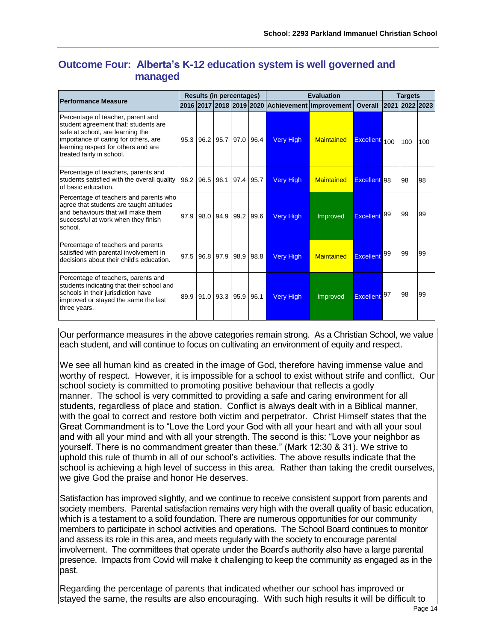# **Outcome Four: Alberta's K-12 education system is well governed and managed**

|                                                                                                                                                                                                                           | <b>Results (in percentages)</b> |             |      |                  | <b>Evaluation</b>                                |                     | <b>Targets</b> |                |     |
|---------------------------------------------------------------------------------------------------------------------------------------------------------------------------------------------------------------------------|---------------------------------|-------------|------|------------------|--------------------------------------------------|---------------------|----------------|----------------|-----|
| <b>Performance Measure</b>                                                                                                                                                                                                |                                 |             |      |                  | 2016 2017 2018 2019 2020 Achievement Improvement | <b>Overall</b>      |                | 2021 2022 2023 |     |
| Percentage of teacher, parent and<br>student agreement that: students are<br>safe at school, are learning the<br>importance of caring for others, are<br>learning respect for others and are<br>treated fairly in school. | 95.3 96.2 95.7 97.0             |             | 96.4 | <b>Very High</b> | <b>Maintained</b>                                | Excellent 100       |                | 100            | 100 |
| Percentage of teachers, parents and<br>students satisfied with the overall quality<br>of basic education.                                                                                                                 | 96.2 96.5 96.1                  | 97.4 95.7   |      | Very High        | <b>Maintained</b>                                | <b>Excellent</b> 98 |                | 98             | 98  |
| Percentage of teachers and parents who<br>agree that students are taught attitudes<br>and behaviours that will make them<br>successful at work when they finish<br>school.                                                | 97.9 98.0 94.9                  | $99.2$ 99.6 |      | Very High        | Improved                                         | <b>Excellent</b>    | 99             | 99             | 99  |
| Percentage of teachers and parents<br>satisfied with parental involvement in<br>decisions about their child's education.                                                                                                  | 97.5 96.8 97.9                  | 98.9        | 98.8 | <b>Very High</b> | <b>Maintained</b>                                | Excellent           | 99             | 99             | 99  |
| Percentage of teachers, parents and<br>students indicating that their school and<br>schools in their jurisdiction have<br>improved or stayed the same the last<br>three years.                                            | 89.9 91.0 93.3 95.9             |             | 96.1 | Very High        | Improved                                         | <b>Excellent</b>    | 97             | 98             | 99  |

Our performance measures in the above categories remain strong. As a Christian School, we value each student, and will continue to focus on cultivating an environment of equity and respect.

We see all human kind as created in the image of God, therefore having immense value and worthy of respect. However, it is impossible for a school to exist without strife and conflict. Our school society is committed to promoting positive behaviour that reflects a godly manner. The school is very committed to providing a safe and caring environment for all students, regardless of place and station. Conflict is always dealt with in a Biblical manner, with the goal to correct and restore both victim and perpetrator. Christ Himself states that the Great Commandment is to "Love the Lord your God with all your heart and with all your soul and with all your mind and with all your strength. The second is this: "Love your neighbor as yourself. There is no commandment greater than these." (Mark 12:30 & 31). We strive to uphold this rule of thumb in all of our school's activities. The above results indicate that the school is achieving a high level of success in this area. Rather than taking the credit ourselves, we give God the praise and honor He deserves.

Satisfaction has improved slightly, and we continue to receive consistent support from parents and society members. Parental satisfaction remains very high with the overall quality of basic education, which is a testament to a solid foundation. There are numerous opportunities for our community members to participate in school activities and operations. The School Board continues to monitor and assess its role in this area, and meets regularly with the society to encourage parental involvement. The committees that operate under the Board's authority also have a large parental presence. Impacts from Covid will make it challenging to keep the community as engaged as in the past.

Regarding the percentage of parents that indicated whether our school has improved or stayed the same, the results are also encouraging. With such high results it will be difficult to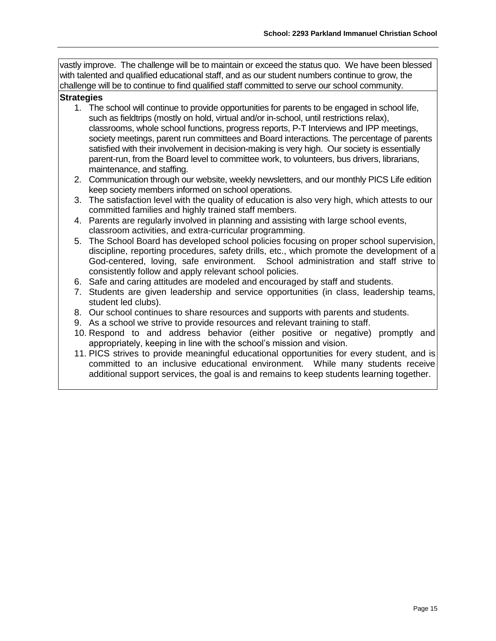vastly improve. The challenge will be to maintain or exceed the status quo. We have been blessed with talented and qualified educational staff, and as our student numbers continue to grow, the challenge will be to continue to find qualified staff committed to serve our school community.

## **Strategies**

- 1. The school will continue to provide opportunities for parents to be engaged in school life, such as fieldtrips (mostly on hold, virtual and/or in-school, until restrictions relax), classrooms, whole school functions, progress reports, P-T Interviews and IPP meetings, society meetings, parent run committees and Board interactions. The percentage of parents satisfied with their involvement in decision-making is very high. Our society is essentially parent-run, from the Board level to committee work, to volunteers, bus drivers, librarians, maintenance, and staffing.
- 2. Communication through our website, weekly newsletters, and our monthly PICS Life edition keep society members informed on school operations.
- 3. The satisfaction level with the quality of education is also very high, which attests to our committed families and highly trained staff members.
- 4. Parents are regularly involved in planning and assisting with large school events, classroom activities, and extra-curricular programming.
- 5. The School Board has developed school policies focusing on proper school supervision, discipline, reporting procedures, safety drills, etc., which promote the development of a God-centered, loving, safe environment. School administration and staff strive to consistently follow and apply relevant school policies.
- 6. Safe and caring attitudes are modeled and encouraged by staff and students.
- 7. Students are given leadership and service opportunities (in class, leadership teams, student led clubs).
- 8. Our school continues to share resources and supports with parents and students.
- 9. As a school we strive to provide resources and relevant training to staff.
- 10. Respond to and address behavior (either positive or negative) promptly and appropriately, keeping in line with the school's mission and vision.
- 11. PICS strives to provide meaningful educational opportunities for every student, and is committed to an inclusive educational environment. While many students receive additional support services, the goal is and remains to keep students learning together.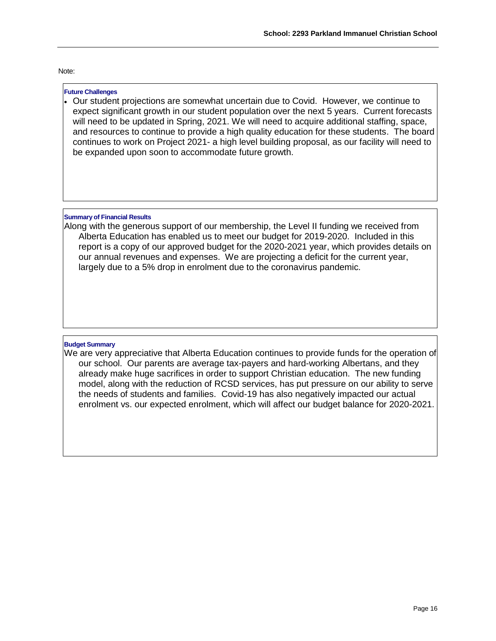#### Note:

#### **Future Challenges**

• Our student projections are somewhat uncertain due to Covid. However, we continue to expect significant growth in our student population over the next 5 years. Current forecasts will need to be updated in Spring, 2021. We will need to acquire additional staffing, space, and resources to continue to provide a high quality education for these students. The board continues to work on Project 2021- a high level building proposal, as our facility will need to be expanded upon soon to accommodate future growth.

#### **Summary of Financial Results**

Along with the generous support of our membership, the Level II funding we received from Alberta Education has enabled us to meet our budget for 2019-2020. Included in this report is a copy of our approved budget for the 2020-2021 year, which provides details on our annual revenues and expenses. We are projecting a deficit for the current year, largely due to a 5% drop in enrolment due to the coronavirus pandemic.

#### **Budget Summary**

We are very appreciative that Alberta Education continues to provide funds for the operation of our school. Our parents are average tax-payers and hard-working Albertans, and they already make huge sacrifices in order to support Christian education. The new funding model, along with the reduction of RCSD services, has put pressure on our ability to serve the needs of students and families. Covid-19 has also negatively impacted our actual enrolment vs. our expected enrolment, which will affect our budget balance for 2020-2021.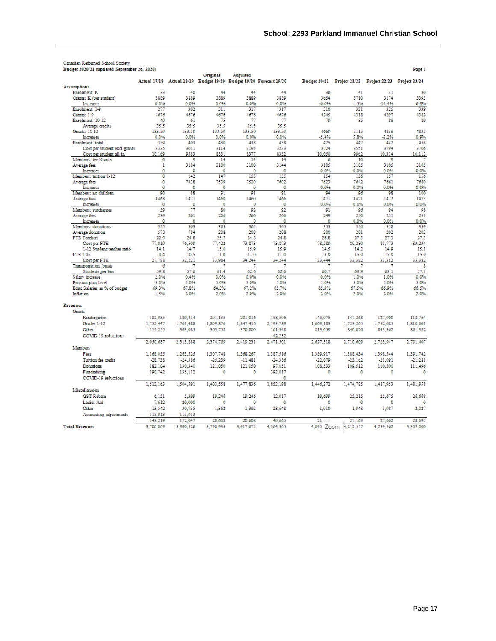| Budget 2020/21 (updated September 26, 2020) |             |             |             |                      |                                                                    |             |                                                        |             | Page 1      |
|---------------------------------------------|-------------|-------------|-------------|----------------------|--------------------------------------------------------------------|-------------|--------------------------------------------------------|-------------|-------------|
|                                             |             |             | Original    | <b>Adjusted</b>      |                                                                    |             |                                                        |             |             |
|                                             |             |             |             |                      | Actual 17/18 Actual 18/19 Budget 19/20 Budget 19/20 Forecast 19/20 |             | Budget 20/21 Project 21/22 Project 22/23 Project 23/24 |             |             |
| <b>Assumptions</b>                          |             | 40          | 44          | 44                   | 44                                                                 |             | 41                                                     |             |             |
| Enrolment: K<br>Grants: K (per student)     | 33<br>3889  | 3889        | 3889        | 3889                 | 3889                                                               | 36<br>3654  | 3710                                                   | 31<br>3174  | 30<br>3393  |
| Increases                                   | 0.0%        | 0.0%        | 0.0%        | 0.0%                 | 0.0%                                                               | $-6.0%$     | 1.5%                                                   | $-14.4%$    | 6.9%        |
| Enrolment: 1-9                              | 277         | 302         | 311         | 317                  | 317                                                                | 310         | 321                                                    | 325         | 339         |
| Grants: 1-9                                 | 4676        | 4676        | 4676        | 4676                 | 4676                                                               | 4245        | 4318                                                   | 4297        | 4382        |
| Enrolment: 10-12                            | 49          | 61          | 75          | 77                   | 77                                                                 | 79          | 85                                                     | 86          | 89          |
| Average credits                             | 35.5        | 35.5        | 35.5        | 35.5                 | 35.5                                                               |             |                                                        |             |             |
| Grants: 10-12                               | 133.59      | 133.59      | 133.59      | 133.59               | 133.59                                                             | 4669        | 5115                                                   | 4836        | 4835        |
| Increases                                   | 0.0%        | 0.0%        | 0.0%        | 0.0%                 | 0.0%                                                               | $-5.4%$     | 5.8%                                                   | $-3.2%$     | 0.9%        |
| Enrolment: total                            | 359         | 403         | 430         | 438                  | 438                                                                | 425         | 447                                                    | 442         | 458         |
| Cost per student excl grants                | 3335        | 3011        | 3114        | 3195                 | 3233                                                               | 3724        | 3551                                                   | 3794        | 3706        |
| Cost per student all in                     | 10.169      | 9583        | 8831        | 8377                 | 8352                                                               | 10.050      | 9962                                                   | 10.314      | 10,112      |
| Members: fee K only                         | ٥           | ٥           | 14          | 14                   | 14                                                                 | 6           | 10                                                     | ٥           |             |
| Average fees                                | 1           | 3184        | 3100        | 3100                 | 3144                                                               | 3105        | 3105                                                   | 3105        | 3105        |
| Increases                                   | 0           | 0           | $\mathbf 0$ | $\ddot{\phantom{0}}$ | Ō                                                                  | 0.0%        | 0.0%                                                   | 0.0%        | 0.0%        |
| Members: tuition 1-12                       | 0           | 142         | 147         | 155                  | 155                                                                | 154         | 156                                                    | 157         | 156         |
| Average fees                                | $\circ$     | 7438        | 7539        | 7520                 | 7602                                                               | 7623        | 7642                                                   | 7661        | 7680        |
| Increases                                   | 0           | 0           | 0           | 0                    | 0                                                                  | 0.0%        | 0.0%                                                   | 0.0%        | 0.0%        |
| Members: no children                        | 90          | 88          | 91          | 91                   | 91                                                                 | 94          | 96                                                     | 98          | 100         |
| Average fees                                | 1468        | 1471        | 1460        | 1460                 | 1466                                                               | 1471        | 1471                                                   | 1472        | 1473        |
| Increases                                   | 0           | 0           | 0           | 0                    | 0                                                                  | 0.0%        | 0.0%                                                   | 0.0%        | 0.0%        |
| Members: surcharges                         | 50          | 77          | 80          | 92                   | 92                                                                 | 91          | 96                                                     | 94          | 98          |
| Average fees                                | 239         | 261         | 266         | 266                  | 266                                                                | 249         | 250                                                    | 251         | 251         |
| Increases                                   | $\circ$     | 0           | 0           | 0                    | 0                                                                  | 0           | 0.0%                                                   | 0.0%        | 0.0%        |
| Members: donations                          | 355         | 363         | 365         | 365                  | 365                                                                | 355         | 356                                                    | 358         | 359         |
| Average donation<br><b>FTE Teachers</b>     | 578<br>22.9 | 784<br>24.8 | 208<br>25.7 | 208<br>24.8          | 208<br>24.8                                                        | 200<br>26.8 | 201<br>27.3                                            | 202<br>27.3 | 203<br>27.3 |
|                                             | 77.019      | 76.509      | 77.422      | 73.873               | 73.873                                                             | 78.589      | 80.280                                                 | 81.773      | 83.234      |
| Cost per FTE<br>1-12 Student:teacher ratio  | 14.1        | 14.7        | 15.0        | 15.9                 | 15.9                                                               | 14.5        | 14.2                                                   | 14.9        | 15.1        |
| <b>FTE TAs</b>                              | 9.4         | 10.5        | 11.0        | 11.0                 | 11.0                                                               | 13.9        | 15.9                                                   | 15.9        | 15.9        |
| Cost per FTE                                | 27,788      | 32,221      | 33.984      | 34,244               | 34,244                                                             | 33,444      | 33,382                                                 | 33,382      | 33,382      |
| Transportation: buses                       | 6           |             |             |                      |                                                                    |             |                                                        |             | 8           |
| Students per bus                            | 59.8        | 57.6        | 61.4        | 62.6                 | 62.6                                                               | 60.7        | 63.9                                                   | 63.1        | 57.3        |
| Salary increase                             | 2.0%        | 0.4%        | 0.0%        | 0.0%                 | 0.0%                                                               | 0.0%        | 1.0%                                                   | 1.0%        | 0.0%        |
| Pension plan level                          | 5.0%        | 5.0%        | 5.0%        | 5.0%                 | 5.0%                                                               | 5.0%        | 5.0%                                                   | 5.0%        | 5.0%        |
| Educ Salaries as % of budget                | 69.3%       | 67.8%       | 64.3%       | 67.2%                | 65.7%                                                              | 65.3%       | 67.5%                                                  | 66.9%       | 66.5%       |
| Inflation                                   | 1.5%        | 2.0%        | 2.0%        | 2.0%                 | 2.0%                                                               | 2.0%        | 2.0%                                                   | 2.0%        | 2.0%        |
|                                             |             |             |             |                      |                                                                    |             |                                                        |             |             |
| <b>Revenues</b>                             |             |             |             |                      |                                                                    |             |                                                        |             |             |
| <b>Grants</b>                               |             |             |             |                      |                                                                    |             |                                                        |             |             |
| Kindergarten                                | 182.985     | 189.314     | 201.135     | 201.016              | 158.596                                                            | 145.075     | 147.268                                                | 127,900     | 118,764     |
| Grades 1-12                                 | 1,752,447   | 1,761,488   | 1,809,876   | 1,847,416            | 2,193,789                                                          | 1,669,183   | 1,723,265                                              | 1,752,685   | 1,810,661   |
| Other                                       | 115,255     | 363,085     | 363,758     | 370,800              | 161,348                                                            | 813,059     | 840,076                                                | 843,362     | 861,982     |
| COVID-19 reductions                         |             |             |             |                      | $-42.232$                                                          |             |                                                        |             |             |
|                                             | 2,050,687   | 2.313.888   | 2,374,769   | 2.419.231            | 2,471,501                                                          | 2,627,318   | 2.710.609                                              | 2.723.947   | 2.791.407   |
| Members                                     |             |             |             |                      |                                                                    |             |                                                        |             |             |
| Fees                                        | 1.168.055   | 1.263.525   | 1.307.748   | 1.368.267            | 1.387.516                                                          | 1.359.917   | 1.388.434                                              | 1.398.544   | 1.391.742   |
| Tuition fee credit                          | $-28,738$   | $-24.386$   | $-25,239$   | $-11,481$            | $-24.386$                                                          | $-22,079$   | $-23,162$                                              | $-21,091$   | $-21,281$   |
| Donations                                   | 182.104     | 130.340     | 121,050     | 121,050              | 97,051                                                             | 108.533     | 109,512                                                | 110,500     | 111,496     |
| Fundraising                                 | 190,742     | 135,112     | 0           | 0                    | 392,017                                                            | 0           | $\circ$                                                | 0           | 0           |
| COVID-19 reductions                         |             |             |             |                      | 0                                                                  |             |                                                        |             |             |
|                                             |             | 1.504.591   | 1.403.558   |                      | 1,852,198                                                          | 1,446,372   | 1,474,785                                              | 1,487,953   | 1.481.958   |
| Miscellaneous                               | 1.512.163   |             |             | 1,477,836            |                                                                    |             |                                                        |             |             |
|                                             |             |             |             |                      |                                                                    |             |                                                        |             |             |
| <b>GST Rebate</b>                           | 6.151       | 5,399       | 19,246      | 19,246               | 12,017                                                             | 19,699      | 25,215                                                 | 25.675      | 26,668      |
| <b>Ladies Aid</b>                           | 7.612       | 20,000      | $\mathbf 0$ | 0                    | 0                                                                  | 0           | 0                                                      | 0           | 0           |
| Other                                       | 13,542      | 30,735      | 1,362       | 1,362                | 28,648                                                             | 1,910       | 1,948                                                  | 1,987       | 2,027       |
| Accounting adjustments                      | 115,913     | 115,913     |             |                      |                                                                    |             |                                                        |             |             |
|                                             | 143,219     | 172,047     | 20,608      | 20,608               | 40,665                                                             | 21          | 27.163                                                 | 27,662      | 28,695      |
| <b>Total Revenues</b>                       | 3,706,069   | 3.990.526   | 3,798,935   | 3.917.675            | 4,364,365                                                          |             | 4,095 Zoom 4,212,557                                   | 4.239.562   | 4,302,060   |
|                                             |             |             |             |                      |                                                                    |             |                                                        |             |             |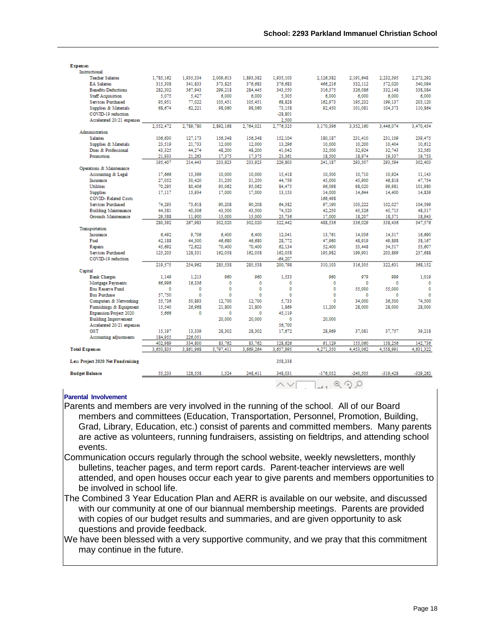| <b>Expenses</b>                   |                   |                   |                   |                   |                   |                   |                   |                   |                   |
|-----------------------------------|-------------------|-------------------|-------------------|-------------------|-------------------|-------------------|-------------------|-------------------|-------------------|
| Instructional                     |                   |                   |                   |                   |                   |                   |                   |                   |                   |
| <b>Teacher Salaries</b>           | 1,785,162         | 1,935,334         | 2,009,613         | 1,893,382         | 1,935,103         | 2,126,382         | 2,191,648         | 2.232.395         | 2.272.292         |
| <b>EA Salaries</b>                | 315,308           | 341.833           | 373,825           | 376,683           | 376,683           | 466,216           | 532,112           | 572,020           | 540,094           |
| <b>Benefits/Deductions</b>        | 282.302           | 367.943           | 299.218           | 284.445           | 343.550           | 316.375           | 326,086           | 332.148           | 338.084           |
| <b>Staff Acquisition</b>          | 5.075             | 5.427             | 6.000             | 6.000             | 5.305             | 6.000             | 6.000             | 6.000             | 6,000             |
| Services Purchased                | 95.951            | 77.022            | 105.451           | 105.451           | 68.828            | 162.973           | 195.232           | 199.137           | 203.120           |
| Supplies & Materials              | 68.674            | 62,221            | 98.060            | 98.060            | 73,158            | 92,450            | 101,081           | 104,373           | 110,864           |
| COVID-19 reduction                |                   |                   |                   |                   | $-28.801$         |                   |                   |                   |                   |
| Accelerated 20/21 expenses        |                   |                   |                   |                   | 2,500             |                   |                   |                   |                   |
|                                   | 2.552.472         | 2.789.780         | 2.892.168         | 2,764,021         | 2,776,325         | 3,170,396         | 3.352.160         | 3.446.074         | 3.470.454         |
| Administration                    |                   |                   |                   |                   |                   |                   |                   |                   |                   |
| <b>Salaries</b>                   | 106.630           | 127.173           | 156.348           | 156.348           | 152.104           | 180.187           | 231.410           | 231.109           | 239.475           |
| Supplies & Materials              | 23.519            | 21,733            | 12.000            | 12,000            | 13.296            | 10.000            | 10.200            | 10.404            | 10.612            |
| Dues & Professional<br>Promotion  | 43.325            | 44,274            | 48.200            | 48.200            | 41.042            | 32.500            | 32.924            | 32,743            | 32.563            |
|                                   | 21.933<br>195,407 | 21.263<br>214.443 | 17,375<br>233.923 | 17,375<br>233.923 | 23,361<br>229.803 | 18,500<br>241.187 | 18,974<br>293,507 | 19,337<br>293.594 | 19,753<br>302,403 |
| Operations & Maintenance          |                   |                   |                   |                   |                   |                   |                   |                   |                   |
| Accounting & Legal                | 17.666            | 15.399            | 10,000            | 10.000            | 15,418            | 10,500            | 10.710            | 10.924            | 11.143            |
| Insurance                         | 27.052            | 30.420            | 31.250            | 31.250            | 44.759            | 45,000            | 45.900            | 46.818            | 47,754            |
| <b>Utilities</b>                  | 70.295            | 80.406            | 95.062            | 95.062            | 84.475            | 96.098            | 98.020            | 99.981            | 101.980           |
| <b>Supplies</b>                   | 17.117            | 15.934            | 17,000            | 17,000            | 13,153            | 14,000            | 14.644            | 14,400            | 14.839            |
| <b>COVID-Related Costs</b>        |                   |                   |                   |                   |                   | 166,498           |                   |                   |                   |
| Services Purchased                | 74,293            | 73,618            | 90,208            | 90.208            | 64,382            | 97.190            | 103,222           | 102,027           | 104,599           |
| <b>Building Maintenance</b>       | 44.381            | 40.306            | 43.500            | 43.500            | 74.520            | 42,250            | 45.326            | 45.715            | 48.317            |
| Grounds Maintenance               | 29.588            | 11,900            | 15,000            | 15,000            | 25.736            | 17,000            | 18,207            | 18.571            | 18,943            |
|                                   | 280.392           | 267.983           | 302.020           | 302.020           | 322.442           | 488.536           | 336.029           | 338.436           | 347.576           |
| Transportation                    |                   |                   |                   |                   |                   |                   |                   |                   |                   |
| Insurance                         | 6.492             | 9.709             | 6.400             | 6,400             | 12.041            | 13,761            | 14.036            | 14.317            | 16.690            |
| Fuel                              | 42.188            | 44.300            | 46.680            | 46.680            | 28.772            | 47.960            | 48.919            | 49.898            | 58.167            |
| Repairs                           | 45,692            | 72,622            | 70,400            | 70,400            | 62,134            | 52,400            | 53,448            | 54,517            | 55,607            |
| Services Purchased                | 125,203           | 128,331           | 162,058           | 162,058           | 162,058           | 195,982           | 199,901           | 203.899           | 237,688           |
| COVID-19 reduction                |                   |                   |                   |                   | $-64.207$         |                   |                   |                   |                   |
|                                   | 219.575           | 254.962           | 285.538           | 285.538           | 200.798           | 310.103           | 316.305           | 322.631           | 368.152           |
| Capital                           |                   |                   |                   |                   |                   |                   |                   |                   |                   |
| <b>Bank Charges</b>               | 1.149             | 1.213             | 960               | 960               | 1.533             | 960               | 979               | 999               | 1.019             |
| Mortgage Payments                 | 66.996            | 16.336            | 0                 | o                 | ٥                 | 0                 | ٥                 | ٥                 | $\mathbf 0$       |
| <b>Bus Reserve Fund</b>           | 0                 | $\circ$           | $\mathbf 0$       | $\mathbf 0$       | o                 | $\mathbf 0$       | 55,000            | 55,000            | $\mathbf{0}$      |
| <b>Bus Purchase</b>               | 57.750            | $\mathbf 0$       | Ō                 | Ō                 | 0                 | Ō                 | ٥                 | Ō                 | $\circ$           |
| Computers & Networking            | 55,736            | 50.893            | 12,700            | 12,700            | 5,733             | O                 | 34,000            | 36.500            | 74,500            |
| Fumishings & Equipment            | 15.540            | 26.968            | 21.800            | 21.800            | 1.869             | 11.200            | 28,000            | 28,000            | 28.000            |
| Expansion/Project 2020            | 5.666             | o                 | ٥                 | o                 | 45.119            |                   |                   |                   |                   |
| <b>Building Improvement</b>       |                   |                   | 20,000            | 20,000            | 0                 | 20,000            |                   |                   |                   |
| Accelerated 20/21 expenses        |                   |                   |                   |                   | 56,700            |                   |                   |                   |                   |
| <b>GST</b>                        | 15,197            | 13,339            | 28.302            | 28.302            | 17,672            | 28.969            | 37.081            | 37,757            | 39.218            |
| Accounting adjustments            | 184.955           | 226.051           |                   |                   |                   |                   |                   |                   |                   |
|                                   | 402.989           | 334,800           | 83.762            | 83.762            | 128.626           | 61.129            | 155.060           | 158.256           | 142,736           |
| <b>Total Expenses</b>             | 3.650.835         | 3.861.968         | 3.797.411         | 3.669.264         | 3.657.995         | 4,271,350         | 4.453.062         | 4,558,991         | 4,631,322         |
| Less Project 2020 Net Fundraising |                   |                   |                   |                   | 358,338           |                   |                   |                   |                   |
| <b>Budget Balance</b>             | 55,233            | 128,558           | 1,524             | 248,411           | 348,031           | $-176,052$        | $-240,505$        | $-319,428$        | $-329,262$        |
|                                   |                   |                   |                   |                   | $\wedge \vee$     | $-6$ 1            | $@$ の<br>Ω        |                   |                   |

#### **Parental Involvement**

Parents and members are very involved in the running of the school. All of our Board members and committees (Education, Transportation, Personnel, Promotion, Building, Grad, Library, Education, etc.) consist of parents and committed members. Many parents are active as volunteers, running fundraisers, assisting on fieldtrips, and attending school events.

Communication occurs regularly through the school website, weekly newsletters, monthly bulletins, teacher pages, and term report cards. Parent-teacher interviews are well attended, and open houses occur each year to give parents and members opportunities to be involved in school life.

The Combined 3 Year Education Plan and AERR is available on our website, and discussed with our community at one of our biannual membership meetings. Parents are provided with copies of our budget results and summaries, and are given opportunity to ask questions and provide feedback.

We have been blessed with a very supportive community, and we pray that this commitment may continue in the future.